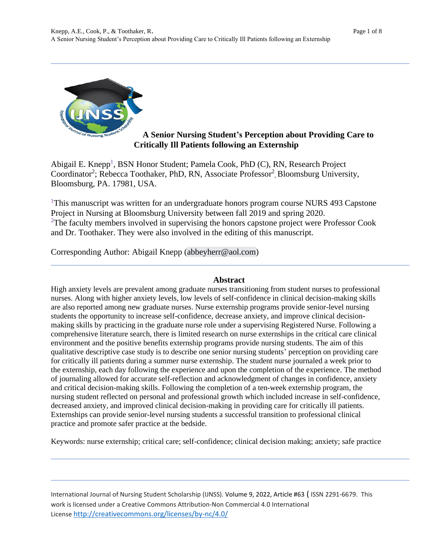

# **A Senior Nursing Student's Perception about Providing Care to Critically Ill Patients following an Externship**

Abigail E. Knepp<sup>1</sup>, BSN Honor Student; Pamela Cook, PhD (C), RN, Research Project Coordinator<sup>2</sup>; Rebecca Toothaker, PhD, RN, Associate Professor<sup>2</sup>, Bloomsburg University, Bloomsburg, PA. 17981, USA.

<sup>1</sup>This manuscript was written for an undergraduate honors program course NURS 493 Capstone Project in Nursing at Bloomsburg University between fall 2019 and spring 2020.  $2$ The faculty members involved in supervising the honors capstone project were Professor Cook and Dr. Toothaker. They were also involved in the editing of this manuscript.

Corresponding Author: Abigail Knepp (abbeyherr@aol.com)

# **Abstract**

High anxiety levels are prevalent among graduate nurses transitioning from student nurses to professional nurses. Along with higher anxiety levels, low levels of self-confidence in clinical decision-making skills are also reported among new graduate nurses. Nurse externship programs provide senior-level nursing students the opportunity to increase self-confidence, decrease anxiety, and improve clinical decisionmaking skills by practicing in the graduate nurse role under a supervising Registered Nurse. Following a comprehensive literature search, there is limited research on nurse externships in the critical care clinical environment and the positive benefits externship programs provide nursing students. The aim of this qualitative descriptive case study is to describe one senior nursing students' perception on providing care for critically ill patients during a summer nurse externship. The student nurse journaled a week prior to the externship, each day following the experience and upon the completion of the experience. The method of journaling allowed for accurate self-reflection and acknowledgment of changes in confidence, anxiety and critical decision-making skills. Following the completion of a ten-week externship program, the nursing student reflected on personal and professional growth which included increase in self-confidence, decreased anxiety, and improved clinical decision-making in providing care for critically ill patients. Externships can provide senior-level nursing students a successful transition to professional clinical practice and promote safer practice at the bedside.

Keywords: nurse externship; critical care; self-confidence; clinical decision making; anxiety; safe practice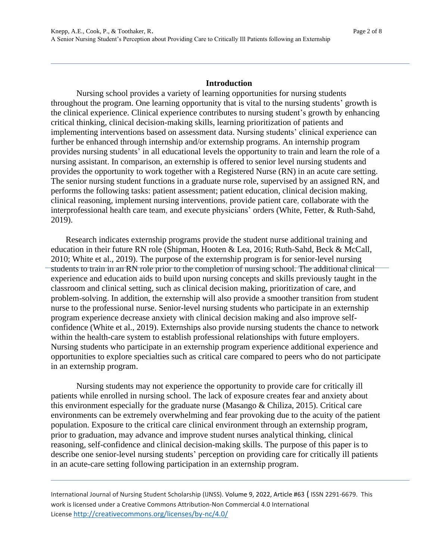#### **Introduction**

Nursing school provides a variety of learning opportunities for nursing students throughout the program. One learning opportunity that is vital to the nursing students' growth is the clinical experience. Clinical experience contributes to nursing student's growth by enhancing critical thinking, clinical decision-making skills, learning prioritization of patients and implementing interventions based on assessment data. Nursing students' clinical experience can further be enhanced through internship and/or externship programs. An internship program provides nursing students' in all educational levels the opportunity to train and learn the role of a nursing assistant. In comparison, an externship is offered to senior level nursing students and provides the opportunity to work together with a Registered Nurse (RN) in an acute care setting. The senior nursing student functions in a graduate nurse role, supervised by an assigned RN, and performs the following tasks: patient assessment; patient education, clinical decision making, clinical reasoning, implement nursing interventions, provide patient care, collaborate with the interprofessional health care team, and execute physicians' orders (White, Fetter, & Ruth-Sahd, 2019).

 Research indicates externship programs provide the student nurse additional training and education in their future RN role (Shipman, Hooten & Lea, 2016; Ruth-Sahd, Beck & McCall, 2010; White et al., 2019). The purpose of the externship program is for senior-level nursing students to train in an RN role prior to the completion of nursing school. The additional clinical experience and education aids to build upon nursing concepts and skills previously taught in the classroom and clinical setting, such as clinical decision making, prioritization of care, and problem-solving. In addition, the externship will also provide a smoother transition from student nurse to the professional nurse. Senior-level nursing students who participate in an externship program experience decrease anxiety with clinical decision making and also improve selfconfidence (White et al., 2019). Externships also provide nursing students the chance to network within the health-care system to establish professional relationships with future employers. Nursing students who participate in an externship program experience additional experience and opportunities to explore specialties such as critical care compared to peers who do not participate in an externship program.

Nursing students may not experience the opportunity to provide care for critically ill patients while enrolled in nursing school. The lack of exposure creates fear and anxiety about this environment especially for the graduate nurse (Masango & Chiliza, 2015). Critical care environments can be extremely overwhelming and fear provoking due to the acuity of the patient population. Exposure to the critical care clinical environment through an externship program, prior to graduation, may advance and improve student nurses analytical thinking, clinical reasoning, self-confidence and clinical decision-making skills. The purpose of this paper is to describe one senior-level nursing students' perception on providing care for critically ill patients in an acute-care setting following participation in an externship program.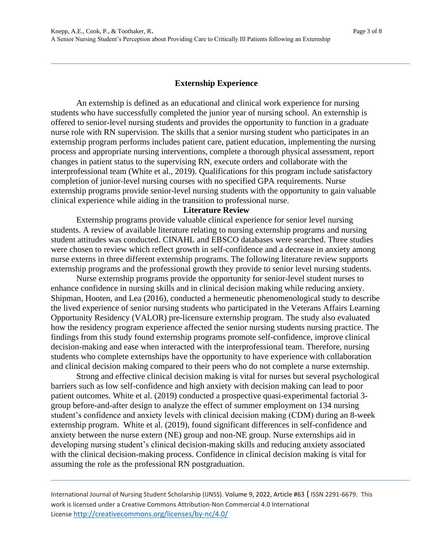# **Externship Experience**

An externship is defined as an educational and clinical work experience for nursing students who have successfully completed the junior year of nursing school. An externship is offered to senior-level nursing students and provides the opportunity to function in a graduate nurse role with RN supervision. The skills that a senior nursing student who participates in an externship program performs includes patient care, patient education, implementing the nursing process and appropriate nursing interventions, complete a thorough physical assessment, report changes in patient status to the supervising RN, execute orders and collaborate with the interprofessional team (White et al., 2019). Qualifications for this program include satisfactory completion of junior-level nursing courses with no specified GPA requirements. Nurse externship programs provide senior-level nursing students with the opportunity to gain valuable clinical experience while aiding in the transition to professional nurse.

# **Literature Review**

Externship programs provide valuable clinical experience for senior level nursing students. A review of available literature relating to nursing externship programs and nursing student attitudes was conducted. CINAHL and EBSCO databases were searched. Three studies were chosen to review which reflect growth in self-confidence and a decrease in anxiety among nurse externs in three different externship programs. The following literature review supports externship programs and the professional growth they provide to senior level nursing students.

Nurse externship programs provide the opportunity for senior-level student nurses to enhance confidence in nursing skills and in clinical decision making while reducing anxiety. Shipman, Hooten, and Lea (2016), conducted a hermeneutic phenomenological study to describe the lived experience of senior nursing students who participated in the Veterans Affairs Learning Opportunity Residency (VALOR) pre-licensure externship program. The study also evaluated how the residency program experience affected the senior nursing students nursing practice. The findings from this study found externship programs promote self-confidence, improve clinical decision-making and ease when interacted with the interprofessional team. Therefore, nursing students who complete externships have the opportunity to have experience with collaboration and clinical decision making compared to their peers who do not complete a nurse externship.

Strong and effective clinical decision making is vital for nurses but several psychological barriers such as low self-confidence and high anxiety with decision making can lead to poor patient outcomes. White et al. (2019) conducted a prospective quasi-experimental factorial 3 group before-and-after design to analyze the effect of summer employment on 134 nursing student's confidence and anxiety levels with clinical decision making (CDM) during an 8-week externship program. White et al. (2019), found significant differences in self-confidence and anxiety between the nurse extern (NE) group and non-NE group. Nurse externships aid in developing nursing student's clinical decision-making skills and reducing anxiety associated with the clinical decision-making process. Confidence in clinical decision making is vital for assuming the role as the professional RN postgraduation.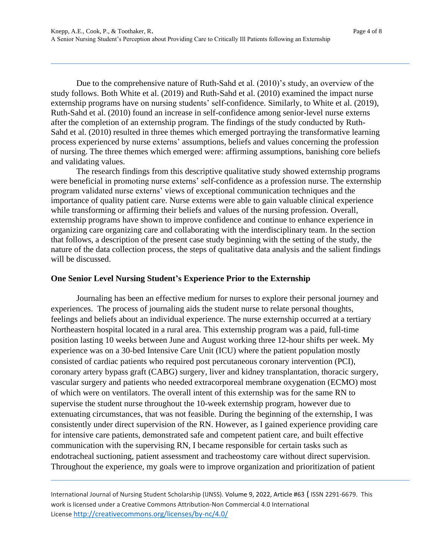Due to the comprehensive nature of Ruth-Sahd et al. (2010)'s study, an overview of the study follows. Both White et al. (2019) and Ruth-Sahd et al. (2010) examined the impact nurse externship programs have on nursing students' self-confidence. Similarly, to White et al. (2019), Ruth-Sahd et al. (2010) found an increase in self-confidence among senior-level nurse externs after the completion of an externship program. The findings of the study conducted by Ruth-Sahd et al. (2010) resulted in three themes which emerged portraying the transformative learning process experienced by nurse externs' assumptions, beliefs and values concerning the profession of nursing. The three themes which emerged were: affirming assumptions, banishing core beliefs and validating values.

The research findings from this descriptive qualitative study showed externship programs were beneficial in promoting nurse externs' self-confidence as a profession nurse. The externship program validated nurse externs' views of exceptional communication techniques and the importance of quality patient care. Nurse externs were able to gain valuable clinical experience while transforming or affirming their beliefs and values of the nursing profession. Overall, externship programs have shown to improve confidence and continue to enhance experience in organizing care organizing care and collaborating with the interdisciplinary team. In the section that follows, a description of the present case study beginning with the setting of the study, the nature of the data collection process, the steps of qualitative data analysis and the salient findings will be discussed.

#### **One Senior Level Nursing Student's Experience Prior to the Externship**

Journaling has been an effective medium for nurses to explore their personal journey and experiences. The process of journaling aids the student nurse to relate personal thoughts, feelings and beliefs about an individual experience. The nurse externship occurred at a tertiary Northeastern hospital located in a rural area. This externship program was a paid, full-time position lasting 10 weeks between June and August working three 12-hour shifts per week. My experience was on a 30-bed Intensive Care Unit (ICU) where the patient population mostly consisted of cardiac patients who required post percutaneous coronary intervention (PCI), coronary artery bypass graft (CABG) surgery, liver and kidney transplantation, thoracic surgery, vascular surgery and patients who needed extracorporeal membrane oxygenation (ECMO) most of which were on ventilators. The overall intent of this externship was for the same RN to supervise the student nurse throughout the 10-week externship program, however due to extenuating circumstances, that was not feasible. During the beginning of the externship, I was consistently under direct supervision of the RN. However, as I gained experience providing care for intensive care patients, demonstrated safe and competent patient care, and built effective communication with the supervising RN, I became responsible for certain tasks such as endotracheal suctioning, patient assessment and tracheostomy care without direct supervision. Throughout the experience, my goals were to improve organization and prioritization of patient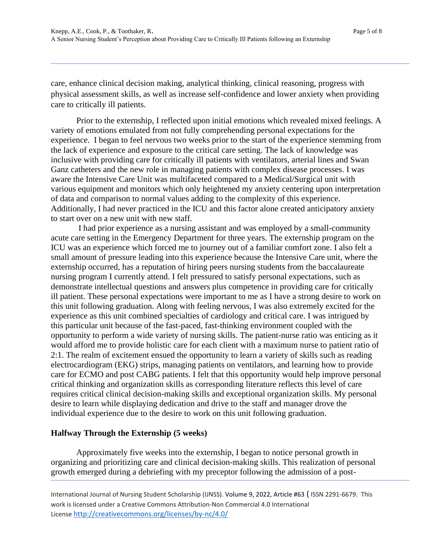care, enhance clinical decision making, analytical thinking, clinical reasoning, progress with physical assessment skills, as well as increase self-confidence and lower anxiety when providing care to critically ill patients.

Prior to the externship, I reflected upon initial emotions which revealed mixed feelings. A variety of emotions emulated from not fully comprehending personal expectations for the experience. I began to feel nervous two weeks prior to the start of the experience stemming from the lack of experience and exposure to the critical care setting. The lack of knowledge was inclusive with providing care for critically ill patients with ventilators, arterial lines and Swan Ganz catheters and the new role in managing patients with complex disease processes. I was aware the Intensive Care Unit was multifaceted compared to a Medical/Surgical unit with various equipment and monitors which only heightened my anxiety centering upon interpretation of data and comparison to normal values adding to the complexity of this experience. Additionally, I had never practiced in the ICU and this factor alone created anticipatory anxiety to start over on a new unit with new staff.

I had prior experience as a nursing assistant and was employed by a small-community acute care setting in the Emergency Department for three years. The externship program on the ICU was an experience which forced me to journey out of a familiar comfort zone. I also felt a small amount of pressure leading into this experience because the Intensive Care unit, where the externship occurred, has a reputation of hiring peers nursing students from the baccalaureate nursing program I currently attend. I felt pressured to satisfy personal expectations, such as demonstrate intellectual questions and answers plus competence in providing care for critically ill patient. These personal expectations were important to me as I have a strong desire to work on this unit following graduation. Along with feeling nervous, I was also extremely excited for the experience as this unit combined specialties of cardiology and critical care. I was intrigued by this particular unit because of the fast-paced, fast-thinking environment coupled with the opportunity to perform a wide variety of nursing skills. The patient-nurse ratio was enticing as it would afford me to provide holistic care for each client with a maximum nurse to patient ratio of 2:1. The realm of excitement ensued the opportunity to learn a variety of skills such as reading electrocardiogram (EKG) strips, managing patients on ventilators, and learning how to provide care for ECMO and post CABG patients. I felt that this opportunity would help improve personal critical thinking and organization skills as corresponding literature reflects this level of care requires critical clinical decision-making skills and exceptional organization skills. My personal desire to learn while displaying dedication and drive to the staff and manager drove the individual experience due to the desire to work on this unit following graduation.

### **Halfway Through the Externship (5 weeks)**

Approximately five weeks into the externship, I began to notice personal growth in organizing and prioritizing care and clinical decision-making skills. This realization of personal growth emerged during a debriefing with my preceptor following the admission of a post-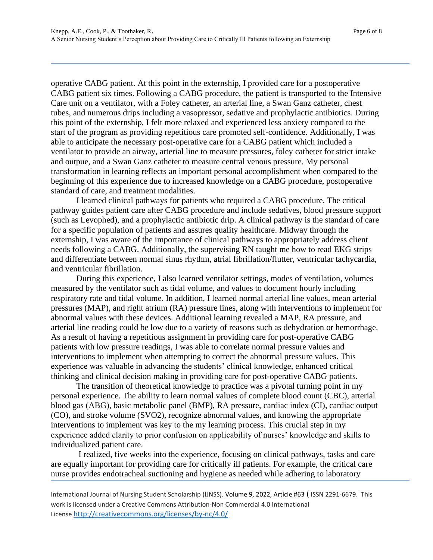operative CABG patient. At this point in the externship, I provided care for a postoperative CABG patient six times. Following a CABG procedure, the patient is transported to the Intensive Care unit on a ventilator, with a Foley catheter, an arterial line, a Swan Ganz catheter, chest tubes, and numerous drips including a vasopressor, sedative and prophylactic antibiotics. During this point of the externship, I felt more relaxed and experienced less anxiety compared to the start of the program as providing repetitious care promoted self-confidence. Additionally, I was able to anticipate the necessary post-operative care for a CABG patient which included a ventilator to provide an airway, arterial line to measure pressures, foley catheter for strict intake and outpue, and a Swan Ganz catheter to measure central venous pressure. My personal transformation in learning reflects an important personal accomplishment when compared to the beginning of this experience due to increased knowledge on a CABG procedure, postoperative standard of care, and treatment modalities.

I learned clinical pathways for patients who required a CABG procedure. The critical pathway guides patient care after CABG procedure and include sedatives, blood pressure support (such as Levophed), and a prophylactic antibiotic drip. A clinical pathway is the standard of care for a specific population of patients and assures quality healthcare. Midway through the externship, I was aware of the importance of clinical pathways to appropriately address client needs following a CABG. Additionally, the supervising RN taught me how to read EKG strips and differentiate between normal sinus rhythm, atrial fibrillation/flutter, ventricular tachycardia, and ventricular fibrillation.

During this experience, I also learned ventilator settings, modes of ventilation, volumes measured by the ventilator such as tidal volume, and values to document hourly including respiratory rate and tidal volume. In addition, I learned normal arterial line values, mean arterial pressures (MAP), and right atrium (RA) pressure lines, along with interventions to implement for abnormal values with these devices. Additional learning revealed a MAP, RA pressure, and arterial line reading could be low due to a variety of reasons such as dehydration or hemorrhage. As a result of having a repetitious assignment in providing care for post-operative CABG patients with low pressure readings, I was able to correlate normal pressure values and interventions to implement when attempting to correct the abnormal pressure values. This experience was valuable in advancing the students' clinical knowledge, enhanced critical thinking and clinical decision making in providing care for post-operative CABG patients.

The transition of theoretical knowledge to practice was a pivotal turning point in my personal experience. The ability to learn normal values of complete blood count (CBC), arterial blood gas (ABG), basic metabolic panel (BMP), RA pressure, cardiac index (CI), cardiac output (CO), and stroke volume (SVO2), recognize abnormal values, and knowing the appropriate interventions to implement was key to the my learning process. This crucial step in my experience added clarity to prior confusion on applicability of nurses' knowledge and skills to individualized patient care.

I realized, five weeks into the experience, focusing on clinical pathways, tasks and care are equally important for providing care for critically ill patients. For example, the critical care nurse provides endotracheal suctioning and hygiene as needed while adhering to laboratory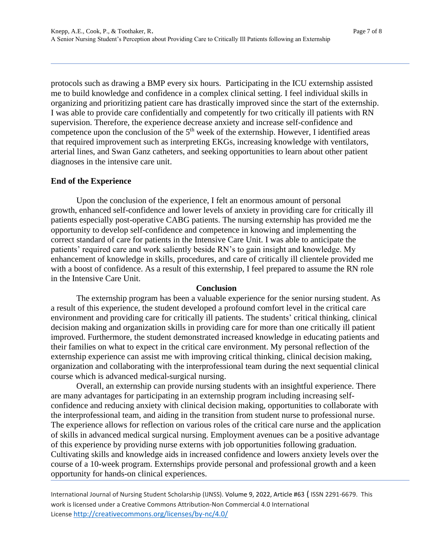protocols such as drawing a BMP every six hours. Participating in the ICU externship assisted me to build knowledge and confidence in a complex clinical setting. I feel individual skills in organizing and prioritizing patient care has drastically improved since the start of the externship. I was able to provide care confidentially and competently for two critically ill patients with RN supervision. Therefore, the experience decrease anxiety and increase self-confidence and competence upon the conclusion of the  $5<sup>th</sup>$  week of the externship. However, I identified areas that required improvement such as interpreting EKGs, increasing knowledge with ventilators, arterial lines, and Swan Ganz catheters, and seeking opportunities to learn about other patient diagnoses in the intensive care unit.

#### **End of the Experience**

Upon the conclusion of the experience, I felt an enormous amount of personal growth, enhanced self-confidence and lower levels of anxiety in providing care for critically ill patients especially post-operative CABG patients. The nursing externship has provided me the opportunity to develop self-confidence and competence in knowing and implementing the correct standard of care for patients in the Intensive Care Unit. I was able to anticipate the patients' required care and work saliently beside RN's to gain insight and knowledge. My enhancement of knowledge in skills, procedures, and care of critically ill clientele provided me with a boost of confidence. As a result of this externship, I feel prepared to assume the RN role in the Intensive Care Unit.

#### **Conclusion**

The externship program has been a valuable experience for the senior nursing student. As a result of this experience, the student developed a profound comfort level in the critical care environment and providing care for critically ill patients. The students' critical thinking, clinical decision making and organization skills in providing care for more than one critically ill patient improved. Furthermore, the student demonstrated increased knowledge in educating patients and their families on what to expect in the critical care environment. My personal reflection of the externship experience can assist me with improving critical thinking, clinical decision making, organization and collaborating with the interprofessional team during the next sequential clinical course which is advanced medical-surgical nursing.

Overall, an externship can provide nursing students with an insightful experience. There are many advantages for participating in an externship program including increasing selfconfidence and reducing anxiety with clinical decision making, opportunities to collaborate with the interprofessional team, and aiding in the transition from student nurse to professional nurse. The experience allows for reflection on various roles of the critical care nurse and the application of skills in advanced medical surgical nursing. Employment avenues can be a positive advantage of this experience by providing nurse externs with job opportunities following graduation. Cultivating skills and knowledge aids in increased confidence and lowers anxiety levels over the course of a 10-week program. Externships provide personal and professional growth and a keen opportunity for hands-on clinical experiences.